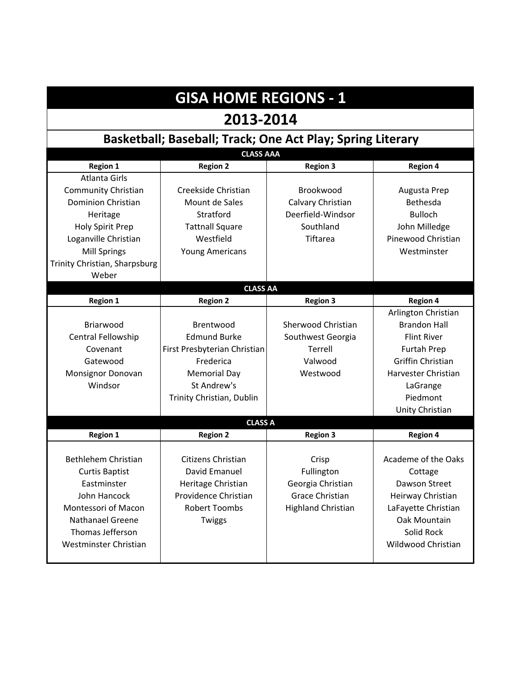| <b>GISA HOME REGIONS - 1</b>  |                                                            |                           |                     |
|-------------------------------|------------------------------------------------------------|---------------------------|---------------------|
| 2013-2014                     |                                                            |                           |                     |
|                               | Basketball; Baseball; Track; One Act Play; Spring Literary |                           |                     |
| <b>CLASS AAA</b>              |                                                            |                           |                     |
| <b>Region 1</b>               | <b>Region 2</b>                                            | <b>Region 3</b>           | <b>Region 4</b>     |
| <b>Atlanta Girls</b>          |                                                            |                           |                     |
| <b>Community Christian</b>    | Creekside Christian                                        | Brookwood                 | Augusta Prep        |
| <b>Dominion Christian</b>     | Mount de Sales                                             | Calvary Christian         | Bethesda            |
| Heritage                      | Stratford                                                  | Deerfield-Windsor         | <b>Bulloch</b>      |
| Holy Spirit Prep              | <b>Tattnall Square</b>                                     | Southland                 | John Milledge       |
| Loganville Christian          | Westfield                                                  | Tiftarea                  | Pinewood Christian  |
| <b>Mill Springs</b>           | <b>Young Americans</b>                                     |                           | Westminster         |
| Trinity Christian, Sharpsburg |                                                            |                           |                     |
| Weber                         |                                                            |                           |                     |
|                               | <b>CLASS AA</b>                                            |                           |                     |
| <b>Region 1</b>               | <b>Region 2</b>                                            | <b>Region 3</b>           | <b>Region 4</b>     |
|                               |                                                            |                           | Arlington Christian |
| Briarwood                     | Brentwood                                                  | Sherwood Christian        | <b>Brandon Hall</b> |
| Central Fellowship            | <b>Edmund Burke</b>                                        | Southwest Georgia         | <b>Flint River</b>  |
| Covenant                      | First Presbyterian Christian                               | Terrell                   | <b>Furtah Prep</b>  |
| Gatewood                      | Frederica                                                  | Valwood                   | Griffin Christian   |
| Monsignor Donovan             | <b>Memorial Day</b>                                        | Westwood                  | Harvester Christian |
| Windsor                       | St Andrew's                                                |                           | LaGrange            |
|                               | Trinity Christian, Dublin                                  |                           | Piedmont            |
|                               |                                                            |                           | Unity Christian     |
| <b>CLASS A</b>                |                                                            |                           |                     |
| <b>Region 1</b>               | <b>Region 2</b>                                            | <b>Region 3</b>           | <b>Region 4</b>     |
|                               |                                                            |                           |                     |
| Bethlehem Christian           | Citizens Christian                                         | Crisp                     | Academe of the Oaks |
| <b>Curtis Baptist</b>         | David Emanuel                                              | Fullington                | Cottage             |
| Eastminster                   | Heritage Christian                                         | Georgia Christian         | Dawson Street       |
| John Hancock                  | Providence Christian                                       | <b>Grace Christian</b>    | Heirway Christian   |
| Montessori of Macon           | <b>Robert Toombs</b>                                       | <b>Highland Christian</b> | LaFayette Christian |
| Nathanael Greene              | <b>Twiggs</b>                                              |                           | Oak Mountain        |
| Thomas Jefferson              |                                                            |                           | Solid Rock          |
| Westminster Christian         |                                                            |                           | Wildwood Christian  |
|                               |                                                            |                           |                     |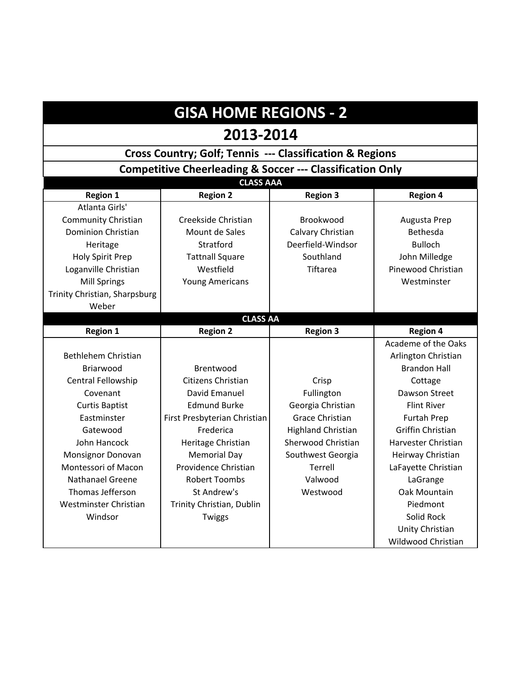# **GISA HOME REGIONS - 2**

#### **2013-2014**

### **Cross Country; Golf; Tennis --- Classification & Regions**

**Competitive Cheerleading & Soccer --- Classification Only**

|                               | <b>CLASS AAA</b>             |                           |                          |
|-------------------------------|------------------------------|---------------------------|--------------------------|
| <b>Region 1</b>               | <b>Region 2</b>              | <b>Region 3</b>           | <b>Region 4</b>          |
| Atlanta Girls'                |                              |                           |                          |
| <b>Community Christian</b>    | Creekside Christian          | Brookwood                 | Augusta Prep             |
| <b>Dominion Christian</b>     | Mount de Sales               | Calvary Christian         | Bethesda                 |
| Heritage                      | Stratford                    | Deerfield-Windsor         | <b>Bulloch</b>           |
| Holy Spirit Prep              | <b>Tattnall Square</b>       | Southland                 | John Milledge            |
| Loganville Christian          | Westfield                    | Tiftarea                  | Pinewood Christian       |
| <b>Mill Springs</b>           | <b>Young Americans</b>       |                           | Westminster              |
| Trinity Christian, Sharpsburg |                              |                           |                          |
| Weber                         |                              |                           |                          |
|                               | <b>CLASS AA</b>              |                           |                          |
| <b>Region 1</b>               | <b>Region 2</b>              | <b>Region 3</b>           | <b>Region 4</b>          |
|                               |                              |                           | Academe of the Oaks      |
| Bethlehem Christian           |                              |                           | Arlington Christian      |
| Briarwood                     | Brentwood                    |                           | <b>Brandon Hall</b>      |
| <b>Central Fellowship</b>     | Citizens Christian           | Crisp                     | Cottage                  |
| Covenant                      | David Emanuel                | Fullington                | Dawson Street            |
| <b>Curtis Baptist</b>         | <b>Edmund Burke</b>          | Georgia Christian         | <b>Flint River</b>       |
| Eastminster                   | First Presbyterian Christian | <b>Grace Christian</b>    | Furtah Prep              |
| Gatewood                      | Frederica                    | <b>Highland Christian</b> | <b>Griffin Christian</b> |
| John Hancock                  | Heritage Christian           | Sherwood Christian        | Harvester Christian      |
| Monsignor Donovan             | <b>Memorial Day</b>          | Southwest Georgia         | Heirway Christian        |
| Montessori of Macon           | Providence Christian         | Terrell                   | LaFayette Christian      |
| <b>Nathanael Greene</b>       | <b>Robert Toombs</b>         | Valwood                   | LaGrange                 |
| Thomas Jefferson              | St Andrew's                  | Westwood                  | Oak Mountain             |
| Westminster Christian         | Trinity Christian, Dublin    |                           | Piedmont                 |
| Windsor                       | Twiggs                       |                           | Solid Rock               |
|                               |                              |                           | Unity Christian          |
|                               |                              |                           | Wildwood Christian       |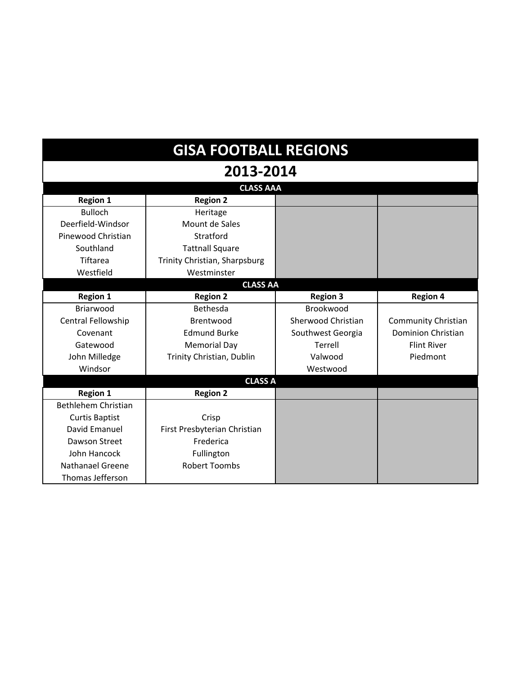| <b>GISA FOOTBALL REGIONS</b> |                               |                    |                            |
|------------------------------|-------------------------------|--------------------|----------------------------|
| 2013-2014                    |                               |                    |                            |
| <b>CLASS AAA</b>             |                               |                    |                            |
| <b>Region 1</b>              | <b>Region 2</b>               |                    |                            |
| <b>Bulloch</b>               | Heritage                      |                    |                            |
| Deerfield-Windsor            | Mount de Sales                |                    |                            |
| Pinewood Christian           | Stratford                     |                    |                            |
| Southland                    | <b>Tattnall Square</b>        |                    |                            |
| Tiftarea                     | Trinity Christian, Sharpsburg |                    |                            |
| Westfield                    | Westminster                   |                    |                            |
| <b>CLASS AA</b>              |                               |                    |                            |
| <b>Region 1</b>              | <b>Region 2</b>               | <b>Region 3</b>    | <b>Region 4</b>            |
| Briarwood                    | Bethesda                      | Brookwood          |                            |
| Central Fellowship           | Brentwood                     | Sherwood Christian | <b>Community Christian</b> |
| Covenant                     | <b>Edmund Burke</b>           | Southwest Georgia  | <b>Dominion Christian</b>  |
| Gatewood                     | <b>Memorial Day</b>           | Terrell            | <b>Flint River</b>         |
| John Milledge                | Trinity Christian, Dublin     | Valwood            | Piedmont                   |
| Windsor                      |                               | Westwood           |                            |
| <b>CLASS A</b>               |                               |                    |                            |
| <b>Region 1</b>              | <b>Region 2</b>               |                    |                            |
| Bethlehem Christian          |                               |                    |                            |
| <b>Curtis Baptist</b>        | Crisp                         |                    |                            |
| David Emanuel                | First Presbyterian Christian  |                    |                            |
| Dawson Street                | Frederica                     |                    |                            |
| John Hancock                 | Fullington                    |                    |                            |
| <b>Nathanael Greene</b>      | <b>Robert Toombs</b>          |                    |                            |
| Thomas Jefferson             |                               |                    |                            |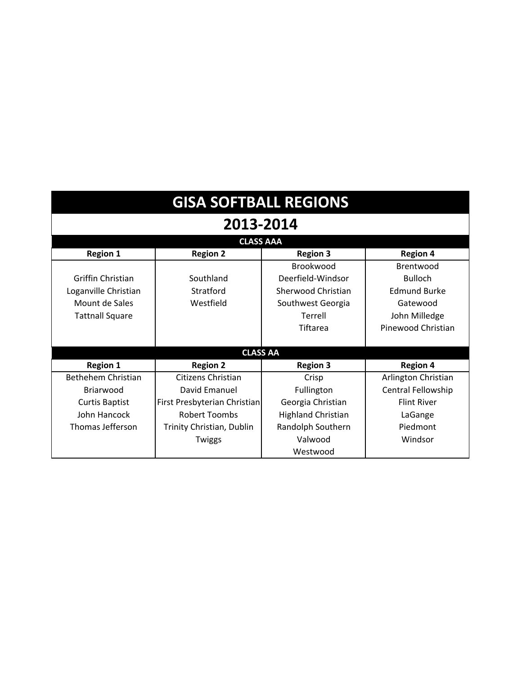| <b>GISA SOFTBALL REGIONS</b> |                              |                           |                     |  |
|------------------------------|------------------------------|---------------------------|---------------------|--|
| 2013-2014                    |                              |                           |                     |  |
| <b>CLASS AAA</b>             |                              |                           |                     |  |
| <b>Region 1</b>              | <b>Region 2</b>              | <b>Region 3</b>           | <b>Region 4</b>     |  |
| Brookwood<br>Brentwood       |                              |                           |                     |  |
| Griffin Christian            | Southland                    | Deerfield-Windsor         | <b>Bulloch</b>      |  |
| Loganville Christian         | Stratford                    | Sherwood Christian        | <b>Edmund Burke</b> |  |
| Mount de Sales               | Westfield                    | Southwest Georgia         | Gatewood            |  |
| <b>Tattnall Square</b>       |                              | Terrell                   | John Milledge       |  |
|                              |                              | Tiftarea                  | Pinewood Christian  |  |
|                              |                              |                           |                     |  |
| <b>CLASS AA</b>              |                              |                           |                     |  |
| <b>Region 1</b>              | <b>Region 2</b>              | <b>Region 3</b>           | <b>Region 4</b>     |  |
| Bethehem Christian           | Citizens Christian           | Crisp                     | Arlington Christian |  |
| <b>Briarwood</b>             | David Emanuel                | Fullington                | Central Fellowship  |  |
| <b>Curtis Baptist</b>        | First Presbyterian Christian | Georgia Christian         | <b>Flint River</b>  |  |
| John Hancock                 | <b>Robert Toombs</b>         | <b>Highland Christian</b> | LaGange             |  |
| Thomas Jefferson             | Trinity Christian, Dublin    | Randolph Southern         | Piedmont            |  |
|                              | <b>Twiggs</b>                | Valwood                   | Windsor             |  |
|                              |                              | Westwood                  |                     |  |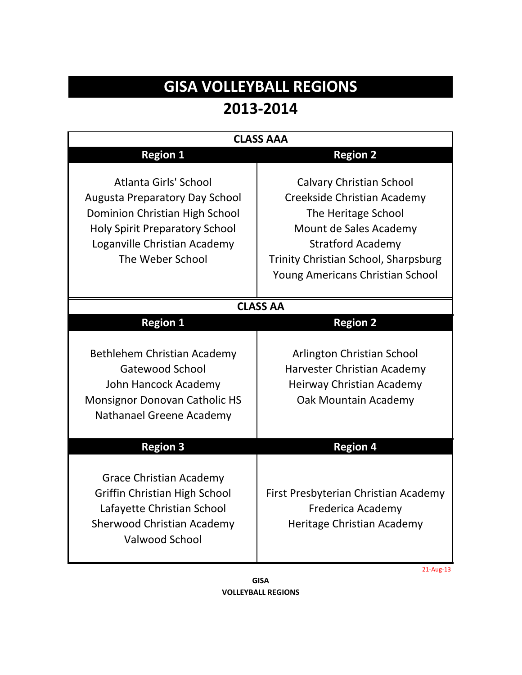## **GISA VOLLEYBALL REGIONS 2013‐2014**

| <b>CLASS AAA</b>                                                                                                                                                                              |                                                                                                                                                                                                                         |  |
|-----------------------------------------------------------------------------------------------------------------------------------------------------------------------------------------------|-------------------------------------------------------------------------------------------------------------------------------------------------------------------------------------------------------------------------|--|
| <b>Region 1</b>                                                                                                                                                                               | <b>Region 2</b>                                                                                                                                                                                                         |  |
| Atlanta Girls' School<br><b>Augusta Preparatory Day School</b><br>Dominion Christian High School<br><b>Holy Spirit Preparatory School</b><br>Loganville Christian Academy<br>The Weber School | <b>Calvary Christian School</b><br>Creekside Christian Academy<br>The Heritage School<br>Mount de Sales Academy<br><b>Stratford Academy</b><br>Trinity Christian School, Sharpsburg<br>Young Americans Christian School |  |
| <b>CLASS AA</b>                                                                                                                                                                               |                                                                                                                                                                                                                         |  |
| <b>Region 1</b>                                                                                                                                                                               | <b>Region 2</b>                                                                                                                                                                                                         |  |
| Bethlehem Christian Academy<br>Gatewood School<br>John Hancock Academy<br><b>Monsignor Donovan Catholic HS</b><br>Nathanael Greene Academy                                                    | Arlington Christian School<br>Harvester Christian Academy<br>Heirway Christian Academy<br>Oak Mountain Academy                                                                                                          |  |
| <b>Region 3</b>                                                                                                                                                                               | <b>Region 4</b>                                                                                                                                                                                                         |  |
| <b>Grace Christian Academy</b><br>Griffin Christian High School<br>Lafayette Christian School<br><b>Sherwood Christian Academy</b><br><b>Valwood School</b>                                   | First Presbyterian Christian Academy<br>Frederica Academy<br>Heritage Christian Academy                                                                                                                                 |  |

**VOLLEYBALL REGIONS GISA**

21‐Aug‐13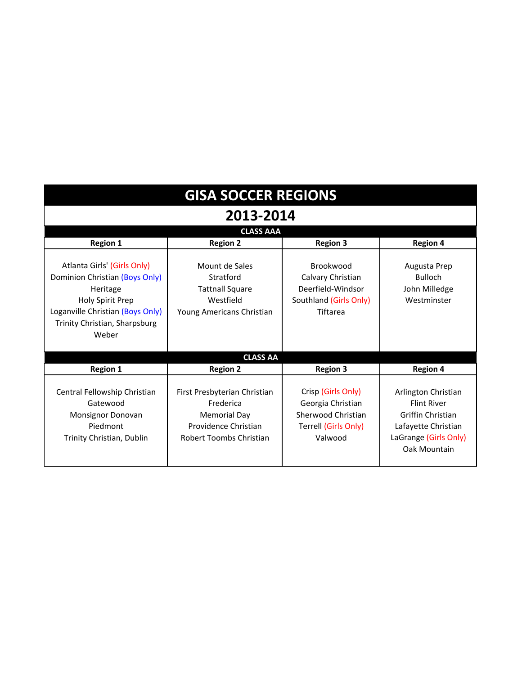| <b>GISA SOCCER REGIONS</b>                                                                                                                                                         |                                                                                                              |                                                                                                  |                                                                                                                                       |
|------------------------------------------------------------------------------------------------------------------------------------------------------------------------------------|--------------------------------------------------------------------------------------------------------------|--------------------------------------------------------------------------------------------------|---------------------------------------------------------------------------------------------------------------------------------------|
| 2013-2014                                                                                                                                                                          |                                                                                                              |                                                                                                  |                                                                                                                                       |
| <b>CLASS AAA</b>                                                                                                                                                                   |                                                                                                              |                                                                                                  |                                                                                                                                       |
| <b>Region 1</b>                                                                                                                                                                    | <b>Region 2</b>                                                                                              | <b>Region 3</b>                                                                                  | <b>Region 4</b>                                                                                                                       |
| Atlanta Girls' (Girls Only)<br>Dominion Christian (Boys Only)<br>Heritage<br><b>Holy Spirit Prep</b><br>Loganville Christian (Boys Only)<br>Trinity Christian, Sharpsburg<br>Weber | Mount de Sales<br>Stratford<br><b>Tattnall Square</b><br>Westfield<br>Young Americans Christian              | Brookwood<br>Calvary Christian<br>Deerfield-Windsor<br>Southland (Girls Only)<br>Tiftarea        | Augusta Prep<br><b>Bulloch</b><br>John Milledge<br>Westminster                                                                        |
| <b>CLASS AA</b>                                                                                                                                                                    |                                                                                                              |                                                                                                  |                                                                                                                                       |
| <b>Region 1</b>                                                                                                                                                                    | <b>Region 2</b>                                                                                              | <b>Region 3</b>                                                                                  | <b>Region 4</b>                                                                                                                       |
| Central Fellowship Christian<br>Gatewood<br>Monsignor Donovan<br>Piedmont<br>Trinity Christian, Dublin                                                                             | First Presbyterian Christian<br>Frederica<br>Memorial Day<br>Providence Christian<br>Robert Toombs Christian | Crisp (Girls Only)<br>Georgia Christian<br>Sherwood Christian<br>Terrell (Girls Only)<br>Valwood | Arlington Christian<br><b>Flint River</b><br><b>Griffin Christian</b><br>Lafayette Christian<br>LaGrange (Girls Only)<br>Oak Mountain |